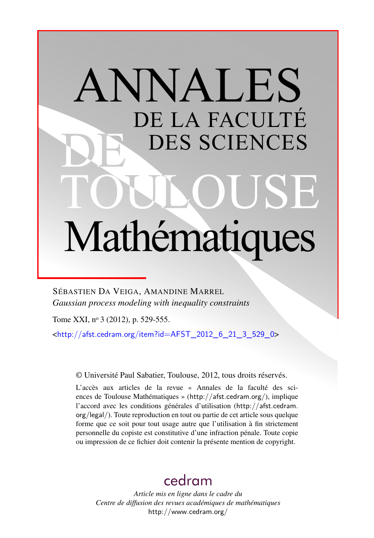# ANNALES DE LA FACULTÉ DES SCIENCES Mathématiques

SÉBASTIEN DA VEIGA, AMANDINE MARREL *Gaussian process modeling with inequality constraints*

Tome XXI, nº 3 (2012), p. 529-555.

 $\text{chttp:}/\text{/afst.cedram.org/item?id = AFST}$  2012 6 21 3 529 0>

© Université Paul Sabatier, Toulouse, 2012, tous droits réservés.

L'accès aux articles de la revue « Annales de la faculté des sciences de Toulouse Mathématiques » (<http://afst.cedram.org/>), implique l'accord avec les conditions générales d'utilisation ([http://afst.cedram.](http://afst.cedram.org/legal/) [org/legal/](http://afst.cedram.org/legal/)). Toute reproduction en tout ou partie de cet article sous quelque forme que ce soit pour tout usage autre que l'utilisation à fin strictement personnelle du copiste est constitutive d'une infraction pénale. Toute copie ou impression de ce fichier doit contenir la présente mention de copyright.

# [cedram](http://www.cedram.org/)

*Article mis en ligne dans le cadre du Centre de diffusion des revues académiques de mathématiques* <http://www.cedram.org/>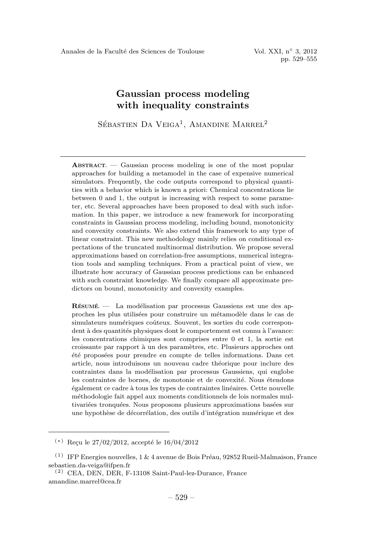pp. 529–555

# Gaussian process modeling with inequality constraints

SÉBASTIEN DA VEIGA<sup>1</sup>, AMANDINE MARREL<sup>2</sup>

ABSTRACT. — Gaussian process modeling is one of the most popular approaches for building a metamodel in the case of expensive numerical simulators. Frequently, the code outputs correspond to physical quantities with a behavior which is known a priori: Chemical concentrations lie between 0 and 1, the output is increasing with respect to some parameter, etc. Several approaches have been proposed to deal with such information. In this paper, we introduce a new framework for incorporating constraints in Gaussian process modeling, including bound, monotonicity and convexity constraints. We also extend this framework to any type of linear constraint. This new methodology mainly relies on conditional expectations of the truncated multinormal distribution. We propose several approximations based on correlation-free assumptions, numerical integration tools and sampling techniques. From a practical point of view, we illustrate how accuracy of Gaussian process predictions can be enhanced with such constraint knowledge. We finally compare all approximate predictors on bound, monotonicity and convexity examples.

 $R$ ÉSUMÉ.  $-$  La modélisation par processus Gaussiens est une des approches les plus utilisées pour construire un métamodèle dans le cas de simulateurs numériques coûteux. Souvent, les sorties du code correspondent à des quantités physiques dont le comportement est connu à l'avance: les concentrations chimiques sont comprises entre 0 et 1, la sortie est croissante par rapport `a un des param`etres, etc. Plusieurs approches ont été proposées pour prendre en compte de telles informations. Dans cet article, nous introduisons un nouveau cadre théorique pour inclure des contraintes dans la modélisation par processus Gaussiens, qui englobe les contraintes de bornes, de monotonie et de convexité. Nous étendons ´egalement ce cadre `a tous les types de contraintes lin´eaires. Cette nouvelle m´ethodologie fait appel aux moments conditionnels de lois normales multivariées tronquées. Nous proposons plusieurs approximations basées sur une hypothèse de décorrélation, des outils d'intégration numérique et des

 $(*)$  Reçu le 27/02/2012, accepté le 16/04/2012

 $(1)$  IFP Energies nouvelles, 1 & 4 avenue de Bois Préau, 92852 Rueil-Malmaison, France sebastien.da-veiga@ifpen.fr

<sup>(2)</sup> CEA, DEN, DER, F-13108 Saint-Paul-lez-Durance, France amandine.marrel@cea.fr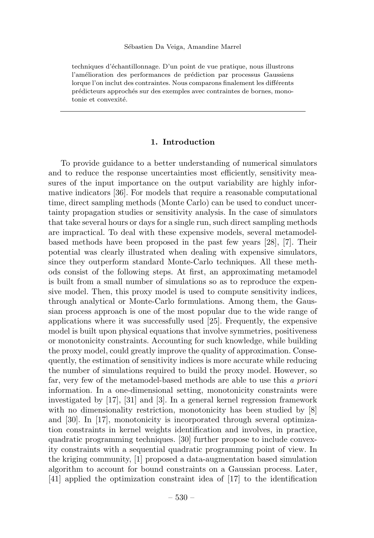techniques d'échantillonnage. D'un point de vue pratique, nous illustrons l'amélioration des performances de prédiction par processus Gaussiens lorque l'on inclut des contraintes. Nous comparons finalement les différents prédicteurs approchés sur des exemples avec contraintes de bornes, monotonie et convexité.

# 1. Introduction

To provide guidance to a better understanding of numerical simulators and to reduce the response uncertainties most efficiently, sensitivity measures of the input importance on the output variability are highly informative indicators [36]. For models that require a reasonable computational time, direct sampling methods (Monte Carlo) can be used to conduct uncertainty propagation studies or sensitivity analysis. In the case of simulators that take several hours or days for a single run, such direct sampling methods are impractical. To deal with these expensive models, several metamodelbased methods have been proposed in the past few years [28], [7]. Their potential was clearly illustrated when dealing with expensive simulators, since they outperform standard Monte-Carlo techniques. All these methods consist of the following steps. At first, an approximating metamodel is built from a small number of simulations so as to reproduce the expensive model. Then, this proxy model is used to compute sensitivity indices, through analytical or Monte-Carlo formulations. Among them, the Gaussian process approach is one of the most popular due to the wide range of applications where it was successfully used [25]. Frequently, the expensive model is built upon physical equations that involve symmetries, positiveness or monotonicity constraints. Accounting for such knowledge, while building the proxy model, could greatly improve the quality of approximation. Consequently, the estimation of sensitivity indices is more accurate while reducing the number of simulations required to build the proxy model. However, so far, very few of the metamodel-based methods are able to use this a priori information. In a one-dimensional setting, monotonicity constraints were investigated by [17], [31] and [3]. In a general kernel regression framework with no dimensionality restriction, monotonicity has been studied by [8] and [30]. In [17], monotonicity is incorporated through several optimization constraints in kernel weights identification and involves, in practice, quadratic programming techniques. [30] further propose to include convexity constraints with a sequential quadratic programming point of view. In the kriging community, [1] proposed a data-augmentation based simulation algorithm to account for bound constraints on a Gaussian process. Later, [41] applied the optimization constraint idea of [17] to the identification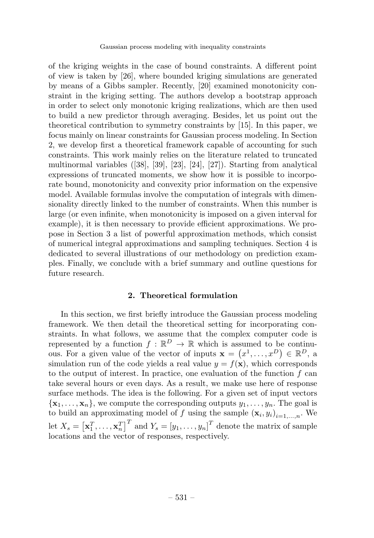of the kriging weights in the case of bound constraints. A different point of view is taken by [26], where bounded kriging simulations are generated by means of a Gibbs sampler. Recently, [20] examined monotonicity constraint in the kriging setting. The authors develop a bootstrap approach in order to select only monotonic kriging realizations, which are then used to build a new predictor through averaging. Besides, let us point out the theoretical contribution to symmetry constraints by [15]. In this paper, we focus mainly on linear constraints for Gaussian process modeling. In Section 2, we develop first a theoretical framework capable of accounting for such constraints. This work mainly relies on the literature related to truncated multinormal variables ([38], [39], [23], [24], [27]). Starting from analytical expressions of truncated moments, we show how it is possible to incorporate bound, monotonicity and convexity prior information on the expensive model. Available formulas involve the computation of integrals with dimensionality directly linked to the number of constraints. When this number is large (or even infinite, when monotonicity is imposed on a given interval for example), it is then necessary to provide efficient approximations. We propose in Section 3 a list of powerful approximation methods, which consist of numerical integral approximations and sampling techniques. Section 4 is dedicated to several illustrations of our methodology on prediction examples. Finally, we conclude with a brief summary and outline questions for future research.

# 2. Theoretical formulation

In this section, we first briefly introduce the Gaussian process modeling framework. We then detail the theoretical setting for incorporating constraints. In what follows, we assume that the complex computer code is represented by a function  $f : \mathbb{R}^D \to \mathbb{R}$  which is assumed to be continuous. For a given value of the vector of inputs  $\mathbf{x} = (x^1, \dots, x^D) \in \mathbb{R}^D$ , a simulation run of the code yields a real value  $y = f(\mathbf{x})$ , which corresponds to the output of interest. In practice, one evaluation of the function  $f$  can take several hours or even days. As a result, we make use here of response surface methods. The idea is the following. For a given set of input vectors  $\{x_1,\ldots,x_n\}$ , we compute the corresponding outputs  $y_1,\ldots,y_n$ . The goal is to build an approximating model of f using the sample  $(\mathbf{x}_i, y_i)_{i=1,\dots,n}$ . We let  $X_s = [\mathbf{x}_1^T, \dots, \mathbf{x}_n^T]^T$  and  $Y_s = [y_1, \dots, y_n]^T$  denote the matrix of sample locations and the vector of responses, respectively.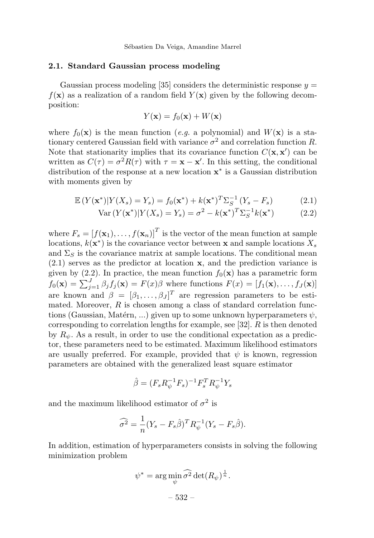#### 2.1. Standard Gaussian process modeling

Gaussian process modeling [35] considers the deterministic response  $y =$  $f(\mathbf{x})$  as a realization of a random field  $Y(\mathbf{x})$  given by the following decomposition:

$$
Y(\mathbf{x}) = f_0(\mathbf{x}) + W(\mathbf{x})
$$

where  $f_0(\mathbf{x})$  is the mean function (e.g. a polynomial) and  $W(\mathbf{x})$  is a stationary centered Gaussian field with variance  $\sigma^2$  and correlation function R. Note that stationarity implies that its covariance function  $C(\mathbf{x}, \mathbf{x}')$  can be written as  $C(\tau) = \sigma^2 R(\tau)$  with  $\tau = \mathbf{x} - \mathbf{x}'$ . In this setting, the conditional distribution of the response at a new location  $x^*$  is a Gaussian distribution with moments given by

$$
\mathbb{E}\left(Y(\mathbf{x}^*)|Y(X_s) = Y_s\right) = f_0(\mathbf{x}^*) + k(\mathbf{x}^*)^T \Sigma_S^{-1} \left(Y_s - F_s\right) \tag{2.1}
$$

$$
\text{Var}\left(Y(\mathbf{x}^*)|Y(X_s) = Y_s\right) = \sigma^2 - k(\mathbf{x}^*)^T \Sigma_S^{-1} k(\mathbf{x}^*)
$$
\n(2.2)

where  $F_s = [f(\mathbf{x}_1),...,f(\mathbf{x}_n)]^T$  is the vector of the mean function at sample locations,  $k(\mathbf{x}^*)$  is the covariance vector between x and sample locations  $X_s$ and  $\Sigma<sub>S</sub>$  is the covariance matrix at sample locations. The conditional mean (2.1) serves as the predictor at location x, and the prediction variance is given by (2.2). In practice, the mean function  $f_0(\mathbf{x})$  has a parametric form  $f_0(\mathbf{x}) = \sum_{j=1}^J \beta_j f_j(\mathbf{x}) = F(x)\beta$  where functions  $F(x) = [f_1(\mathbf{x}), \dots, f_J(\mathbf{x})]$ are known and  $\beta = [\beta_1, \ldots, \beta_J]^T$  are regression parameters to be estimated. Moreover,  $R$  is chosen among a class of standard correlation functions (Gaussian, Matérn, ...) given up to some unknown hyperparameters  $\psi$ , corresponding to correlation lengths for example, see [32].  $R$  is then denoted by  $R_{\psi}$ . As a result, in order to use the conditional expectation as a predictor, these parameters need to be estimated. Maximum likelihood estimators are usually preferred. For example, provided that  $\psi$  is known, regression parameters are obtained with the generalized least square estimator

$$
\hat{\beta} = (F_s R_{\psi}^{-1} F_s)^{-1} F_s^T R_{\psi}^{-1} Y_s
$$

and the maximum likelihood estimator of  $\sigma^2$  is

$$
\widehat{\sigma^2} = \frac{1}{n}(Y_s - F_s\widehat{\beta})^T R_{\psi}^{-1}(Y_s - F_s\widehat{\beta}).
$$

In addition, estimation of hyperparameters consists in solving the following minimization problem

$$
\psi^* = \arg\min_{\psi} \widehat{\sigma^2} \det(R_{\psi})^{\frac{1}{n}}.
$$

$$
-532 -
$$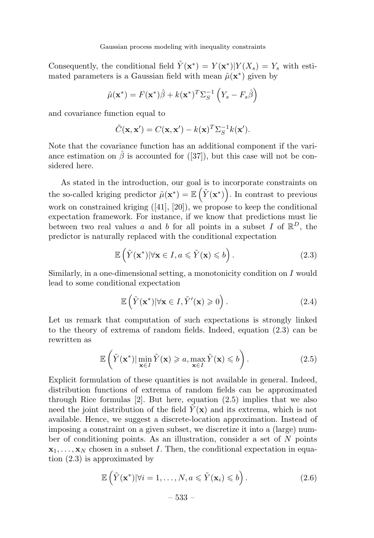Consequently, the conditional field  $\tilde{Y}(\mathbf{x}^*) = Y(\mathbf{x}^*)|Y(X_s) = Y_s$  with estimated parameters is a Gaussian field with mean  $\tilde{\mu}(\mathbf{x}^*)$  given by

$$
\tilde{\mu}(\mathbf{x}^*) = F(\mathbf{x}^*)\hat{\beta} + k(\mathbf{x}^*)^T \Sigma_S^{-1} \left(Y_s - F_s\hat{\beta}\right)
$$

and covariance function equal to

$$
\tilde{C}(\mathbf{x}, \mathbf{x}') = C(\mathbf{x}, \mathbf{x}') - k(\mathbf{x})^T \Sigma_S^{-1} k(\mathbf{x}').
$$

Note that the covariance function has an additional component if the variance estimation on  $\hat{\beta}$  is accounted for ([37]), but this case will not be considered here.

As stated in the introduction, our goal is to incorporate constraints on the so-called kriging predictor  $\tilde{\mu}(\mathbf{x}^*) = \mathbb{E}(\tilde{Y}(\mathbf{x}^*))$ . In contrast to previous work on constrained kriging ([41], [20]), we propose to keep the conditional expectation framework. For instance, if we know that predictions must lie between two real values a and b for all points in a subset I of  $\mathbb{R}^D$ , the predictor is naturally replaced with the conditional expectation

$$
\mathbb{E}\left(\tilde{Y}(\mathbf{x}^*)|\forall \mathbf{x} \in I, a \leqslant \tilde{Y}(\mathbf{x}) \leqslant b\right).
$$
\n(2.3)

Similarly, in a one-dimensional setting, a monotonicity condition on  $I$  would lead to some conditional expectation

$$
\mathbb{E}\left(\tilde{Y}(\mathbf{x}^*)|\forall \mathbf{x} \in I, \tilde{Y}'(\mathbf{x}) \geqslant 0\right). \tag{2.4}
$$

Let us remark that computation of such expectations is strongly linked to the theory of extrema of random fields. Indeed, equation (2.3) can be rewritten as

$$
\mathbb{E}\left(\tilde{Y}(\mathbf{x}^*)|\min_{\mathbf{x}\in I}\tilde{Y}(\mathbf{x})\geqslant a,\max_{\mathbf{x}\in I}\tilde{Y}(\mathbf{x})\leqslant b\right).
$$
\n(2.5)

Explicit formulation of these quantities is not available in general. Indeed, distribution functions of extrema of random fields can be approximated through Rice formulas [2]. But here, equation (2.5) implies that we also need the joint distribution of the field  $\tilde{Y}(\mathbf{x})$  and its extrema, which is not available. Hence, we suggest a discrete-location approximation. Instead of imposing a constraint on a given subset, we discretize it into a (large) number of conditioning points. As an illustration, consider a set of N points  $x_1, \ldots, x_N$  chosen in a subset I. Then, the conditional expectation in equation (2.3) is approximated by

$$
\mathbb{E}\left(\tilde{Y}(\mathbf{x}^*)|\forall i=1,\ldots,N, a\leqslant \tilde{Y}(\mathbf{x}_i)\leqslant b\right).
$$
\n(2.6)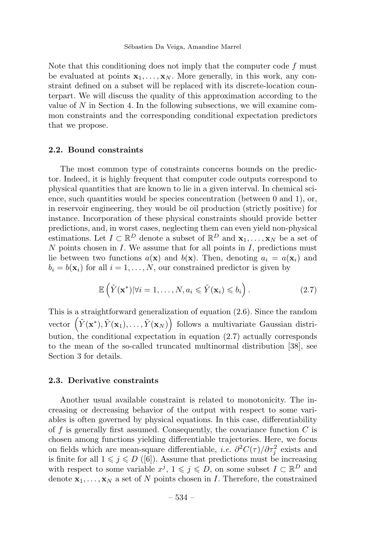Note that this conditioning does not imply that the computer code  $f$  must be evaluated at points  $x_1, \ldots, x_N$ . More generally, in this work, any constraint defined on a subset will be replaced with its discrete-location counterpart. We will discuss the quality of this approximation according to the value of N in Section 4. In the following subsections, we will examine common constraints and the corresponding conditional expectation predictors that we propose.

#### 2.2. Bound constraints

The most common type of constraints concerns bounds on the predictor. Indeed, it is highly frequent that computer code outputs correspond to physical quantities that are known to lie in a given interval. In chemical science, such quantities would be species concentration (between 0 and 1), or, in reservoir engineering, they would be oil production (strictly positive) for instance. Incorporation of these physical constraints should provide better predictions, and, in worst cases, neglecting them can even yield non-physical estimations. Let  $I \subset \mathbb{R}^D$  denote a subset of  $\mathbb{R}^D$  and  $\mathbf{x}_1, \ldots, \mathbf{x}_N$  be a set of  $N$  points chosen in  $I$ . We assume that for all points in  $I$ , predictions must lie between two functions  $a(\mathbf{x})$  and  $b(\mathbf{x})$ . Then, denoting  $a_i = a(\mathbf{x}_i)$  and  $b_i = b(\mathbf{x}_i)$  for all  $i = 1, \ldots, N$ , our constrained predictor is given by

$$
\mathbb{E}\left(\tilde{Y}(\mathbf{x}^*)|\forall i=1,\ldots,N, a_i\leqslant \tilde{Y}(\mathbf{x}_i)\leqslant b_i\right).
$$
\n(2.7)

This is a straightforward generalization of equation (2.6). Since the random vector  $(\tilde{Y}(\mathbf{x}^*), \tilde{Y}(\mathbf{x}_1), \ldots, \tilde{Y}(\mathbf{x}_N))$  follows a multivariate Gaussian distribution, the conditional expectation in equation (2.7) actually corresponds to the mean of the so-called truncated multinormal distribution [38], see Section 3 for details.

#### 2.3. Derivative constraints

Another usual available constraint is related to monotonicity. The increasing or decreasing behavior of the output with respect to some variables is often governed by physical equations. In this case, differentiability of f is generally first assumed. Consequently, the covariance function  $C$  is chosen among functions yielding differentiable trajectories. Here, we focus on fields which are mean-square differentiable, *i.e.*  $\partial^2 C(\tau)/\partial \tau_j^2$  exists and is finite for all  $1 \leq j \leq D$  ([6]). Assume that predictions must be increasing with respect to some variable  $x^j, 1 \leq j \leq D$ , on some subset  $I \subset \mathbb{R}^D$  and denote  $x_1, \ldots, x_N$  a set of N points chosen in I. Therefore, the constrained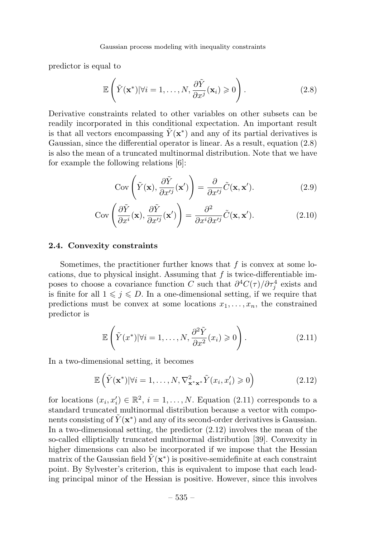predictor is equal to

$$
\mathbb{E}\left(\tilde{Y}(\mathbf{x}^*)|\forall i=1,\ldots,N,\frac{\partial\tilde{Y}}{\partial x^j}(\mathbf{x}_i)\geqslant0\right).
$$
\n(2.8)

Derivative constraints related to other variables on other subsets can be readily incorporated in this conditional expectation. An important result is that all vectors encompassing  $\overline{Y}(\mathbf{x}^*)$  and any of its partial derivatives is Gaussian, since the differential operator is linear. As a result, equation (2.8) is also the mean of a truncated multinormal distribution. Note that we have for example the following relations [6]:

$$
Cov\left(\tilde{Y}(\mathbf{x}), \frac{\partial \tilde{Y}}{\partial x'^j}(\mathbf{x}')\right) = \frac{\partial}{\partial x'^j} \tilde{C}(\mathbf{x}, \mathbf{x}').
$$
\n(2.9)

$$
Cov\left(\frac{\partial \tilde{Y}}{\partial x^i}(\mathbf{x}), \frac{\partial \tilde{Y}}{\partial x'^j}(\mathbf{x}')\right) = \frac{\partial^2}{\partial x^i \partial x'^j} \tilde{C}(\mathbf{x}, \mathbf{x}').
$$
 (2.10)

# 2.4. Convexity constraints

Sometimes, the practitioner further knows that  $f$  is convex at some locations, due to physical insight. Assuming that  $f$  is twice-differentiable imposes to choose a covariance function C such that  $\partial^4 C(\tau)/\partial \tau_j^4$  exists and is finite for all  $1 \leq j \leq D$ . In a one-dimensional setting, if we require that predictions must be convex at some locations  $x_1, \ldots, x_n$ , the constrained predictor is

$$
\mathbb{E}\left(\tilde{Y}(x^*)|\forall i=1,\ldots,N,\frac{\partial^2 \tilde{Y}}{\partial x^2}(x_i)\geqslant 0\right).
$$
\n(2.11)

In a two-dimensional setting, it becomes

$$
\mathbb{E}\left(\tilde{Y}(\mathbf{x}^*)|\forall i=1,\ldots,N,\nabla^2_{\mathbf{x}^*\mathbf{x}^*}\tilde{Y}(x_i,x_i')\geqslant 0\right) \tag{2.12}
$$

for locations  $(x_i, x'_i) \in \mathbb{R}^2$ ,  $i = 1, ..., N$ . Equation (2.11) corresponds to a standard truncated multinormal distribution because a vector with components consisting of  $\tilde{Y}(\mathbf{x}^*)$  and any of its second-order derivatives is Gaussian. In a two-dimensional setting, the predictor (2.12) involves the mean of the so-called elliptically truncated multinormal distribution [39]. Convexity in higher dimensions can also be incorporated if we impose that the Hessian matrix of the Gaussian field  $Y(\mathbf{x}^*)$  is positive-semidefinite at each constraint point. By Sylvester's criterion, this is equivalent to impose that each leading principal minor of the Hessian is positive. However, since this involves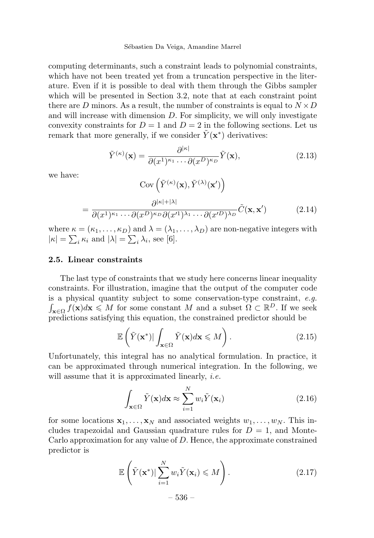#### Sébastien Da Veiga, Amandine Marrel

computing determinants, such a constraint leads to polynomial constraints, which have not been treated yet from a truncation perspective in the literature. Even if it is possible to deal with them through the Gibbs sampler which will be presented in Section 3.2, note that at each constraint point there are D minors. As a result, the number of constraints is equal to  $N \times D$ and will increase with dimension  $D$ . For simplicity, we will only investigate convexity constraints for  $D = 1$  and  $D = 2$  in the following sections. Let us remark that more generally, if we consider  $\tilde{Y}(\mathbf{x}^*)$  derivatives:

$$
\tilde{Y}^{(\kappa)}(\mathbf{x}) = \frac{\partial^{|\kappa|}}{\partial (x^1)^{\kappa_1} \cdots \partial (x^D)^{\kappa_D}} \tilde{Y}(\mathbf{x}),\tag{2.13}
$$

we have:

$$
Cov\left(\tilde{Y}^{(\kappa)}(\mathbf{x}), \tilde{Y}^{(\lambda)}(\mathbf{x}')\right)
$$

$$
= \frac{\partial^{|\kappa|+|\lambda|}}{\partial(x^1)^{\kappa_1} \cdots \partial(x^D)^{\kappa_D} \partial(x'^1)^{\lambda_1} \cdots \partial(x'^D)^{\lambda_D}} \tilde{C}(\mathbf{x}, \mathbf{x}') \tag{2.14}
$$

where  $\kappa = (\kappa_1, \ldots, \kappa_D)$  and  $\lambda = (\lambda_1, \ldots, \lambda_D)$  are non-negative integers with  $|\kappa| = \sum_i \kappa_i$  and  $|\lambda| = \sum_i \lambda_i$ , see [6].

#### 2.5. Linear constraints

The last type of constraints that we study here concerns linear inequality constraints. For illustration, imagine that the output of the computer code is a physical quantity subject to some conservation-type constraint, e.g.  $\int_{\mathbf{x}\in\Omega} f(\mathbf{x})d\mathbf{x} \leqslant M$  for some constant M and a subset  $\Omega \subset \mathbb{R}^D$ . If we seek predictions satisfying this equation, the constrained predictor should be

$$
\mathbb{E}\left(\tilde{Y}(\mathbf{x}^*)|\int_{\mathbf{x}\in\Omega}\tilde{Y}(\mathbf{x})d\mathbf{x}\leqslant M\right).
$$
\n(2.15)

Unfortunately, this integral has no analytical formulation. In practice, it can be approximated through numerical integration. In the following, we will assume that it is approximated linearly, *i.e.* 

$$
\int_{\mathbf{x}\in\Omega} \tilde{Y}(\mathbf{x})d\mathbf{x} \approx \sum_{i=1}^{N} w_i \tilde{Y}(\mathbf{x}_i)
$$
\n(2.16)

for some locations  $x_1, \ldots, x_N$  and associated weights  $w_1, \ldots, w_N$ . This includes trapezoidal and Gaussian quadrature rules for  $D = 1$ , and Monte-Carlo approximation for any value of  $D$ . Hence, the approximate constrained predictor is

$$
\mathbb{E}\left(\tilde{Y}(\mathbf{x}^*)|\sum_{i=1}^N w_i \tilde{Y}(\mathbf{x}_i) \leqslant M\right).
$$
\n
$$
-536 - \tag{2.17}
$$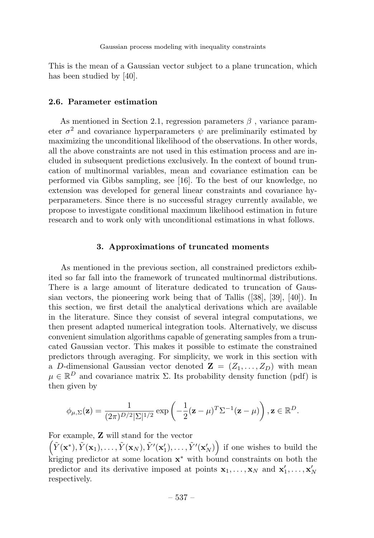This is the mean of a Gaussian vector subject to a plane truncation, which has been studied by [40].

#### 2.6. Parameter estimation

As mentioned in Section 2.1, regression parameters  $\beta$ , variance parameter  $\sigma^2$  and covariance hyperparameters  $\psi$  are preliminarily estimated by maximizing the unconditional likelihood of the observations. In other words, all the above constraints are not used in this estimation process and are included in subsequent predictions exclusively. In the context of bound truncation of multinormal variables, mean and covariance estimation can be performed via Gibbs sampling, see [16]. To the best of our knowledge, no extension was developed for general linear constraints and covariance hyperparameters. Since there is no successful stragey currently available, we propose to investigate conditional maximum likelihood estimation in future research and to work only with unconditional estimations in what follows.

### 3. Approximations of truncated moments

As mentioned in the previous section, all constrained predictors exhibited so far fall into the framework of truncated multinormal distributions. There is a large amount of literature dedicated to truncation of Gaussian vectors, the pioneering work being that of Tallis ([38], [39], [40]). In this section, we first detail the analytical derivations which are available in the literature. Since they consist of several integral computations, we then present adapted numerical integration tools. Alternatively, we discuss convenient simulation algorithms capable of generating samples from a truncated Gaussian vector. This makes it possible to estimate the constrained predictors through averaging. For simplicity, we work in this section with a D-dimensional Gaussian vector denoted  $\mathbf{Z} = (Z_1, \ldots, Z_D)$  with mean  $\mu \in \mathbb{R}^D$  and covariance matrix  $\Sigma$ . Its probability density function (pdf) is then given by

$$
\phi_{\mu,\Sigma}(\mathbf{z}) = \frac{1}{(2\pi)^{D/2}|\Sigma|^{1/2}} \exp\left(-\frac{1}{2}(\mathbf{z}-\mu)^T \Sigma^{-1}(\mathbf{z}-\mu)\right), \mathbf{z} \in \mathbb{R}^D.
$$

For example, Z will stand for the vector

 $(\tilde{Y}(\mathbf{x}^*), \tilde{Y}(\mathbf{x}_1), \ldots, \tilde{Y}(\mathbf{x}_N), \tilde{Y}'(\mathbf{x}'_1), \ldots, \tilde{Y}'(\mathbf{x}'_N))$  if one wishes to build the kriging predictor at some location  $x^*$  with bound constraints on both the predictor and its derivative imposed at points  $x_1, \ldots, x_N$  and  $x'_1, \ldots, x'_N$ respectively.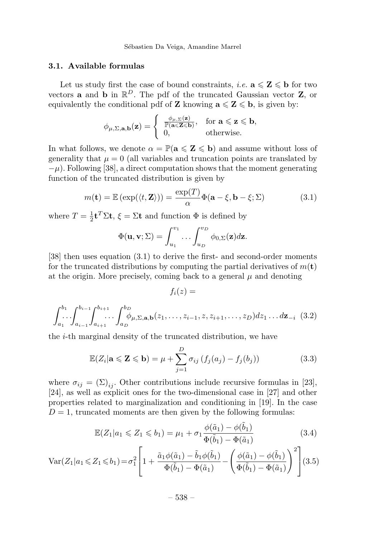Sébastien Da Veiga, Amandine Marrel

### 3.1. Available formulas

Let us study first the case of bound constraints, *i.e.*  $\mathbf{a} \leq \mathbf{Z} \leq \mathbf{b}$  for two vectors **a** and **b** in  $\mathbb{R}^D$ . The pdf of the truncated Gaussian vector **Z**, or equivalently the conditional pdf of **Z** knowing  $a \le Z \le b$ , is given by:

$$
\phi_{\mu,\Sigma,\mathbf{a},\mathbf{b}}(\mathbf{z}) = \begin{cases} \frac{\phi_{\mu,\Sigma}(\mathbf{z})}{\mathbb{P}(\mathbf{a} \leq \mathbf{Z} \leq \mathbf{b})}, & \text{for } \mathbf{a} \leq \mathbf{z} \leq \mathbf{b}, \\ 0, & \text{otherwise.} \end{cases}
$$

In what follows, we denote  $\alpha = \mathbb{P}(\mathbf{a} \leq \mathbf{Z} \leq \mathbf{b})$  and assume without loss of generality that  $\mu = 0$  (all variables and truncation points are translated by  $-\mu$ ). Following [38], a direct computation shows that the moment generating function of the truncated distribution is given by

$$
m(\mathbf{t}) = \mathbb{E}\left(\exp(\langle t, \mathbf{Z}\rangle)\right) = \frac{\exp(T)}{\alpha} \Phi(\mathbf{a} - \xi, \mathbf{b} - \xi; \Sigma)
$$
 (3.1)

where  $T = \frac{1}{2} \mathbf{t}^T \Sigma \mathbf{t}$ ,  $\xi = \Sigma \mathbf{t}$  and function  $\Phi$  is defined by

$$
\Phi(\mathbf{u},\mathbf{v};\Sigma)=\int_{u_1}^{v_1}\ldots\int_{u_D}^{v_D}\phi_{0,\Sigma}(\mathbf{z})d\mathbf{z}.
$$

[38] then uses equation (3.1) to derive the first- and second-order moments for the truncated distributions by computing the partial derivatives of  $m(\mathbf{t})$ at the origin. More precisely, coming back to a general  $\mu$  and denoting

$$
f_i(z) =
$$

$$
\int_{a_1}^{b_1} \cdots \int_{a_{i-1}}^{b_{i-1}} \int_{a_{i+1}}^{b_{i+1}} \cdots \int_{a_D}^{b_D} \phi_{\mu, \Sigma, \mathbf{a}, \mathbf{b}}(z_1, \ldots, z_{i-1}, z, z_{i+1}, \ldots, z_D) dz_1 \ldots dz_{-i} \tag{3.2}
$$

the i-th marginal density of the truncated distribution, we have

$$
\mathbb{E}(Z_i|\mathbf{a} \leq \mathbf{Z} \leq \mathbf{b}) = \mu + \sum_{j=1}^{D} \sigma_{ij} \left( f_j(a_j) - f_j(b_j) \right)
$$
(3.3)

where  $\sigma_{ij} = (\Sigma)_{ij}$ . Other contributions include recursive formulas in [23], [24], as well as explicit ones for the two-dimensional case in [27] and other properties related to marginalization and conditioning in [19]. In the case  $D = 1$ , truncated moments are then given by the following formulas:

$$
\mathbb{E}(Z_1|a_1 \leq Z_1 \leq b_1) = \mu_1 + \sigma_1 \frac{\phi(\tilde{a}_1) - \phi(\tilde{b}_1)}{\Phi(\tilde{b}_1) - \Phi(\tilde{a}_1)}
$$
(3.4)

$$
\text{Var}(Z_1|a_1 \leq Z_1 \leq b_1) = \sigma_1^2 \left[ 1 + \frac{\tilde{a}_1 \phi(\tilde{a}_1) - \tilde{b}_1 \phi(\tilde{b}_1)}{\Phi(\tilde{b}_1) - \Phi(\tilde{a}_1)} - \left( \frac{\phi(\tilde{a}_1) - \phi(\tilde{b}_1)}{\Phi(\tilde{b}_1) - \Phi(\tilde{a}_1)} \right)^2 \right] (3.5)
$$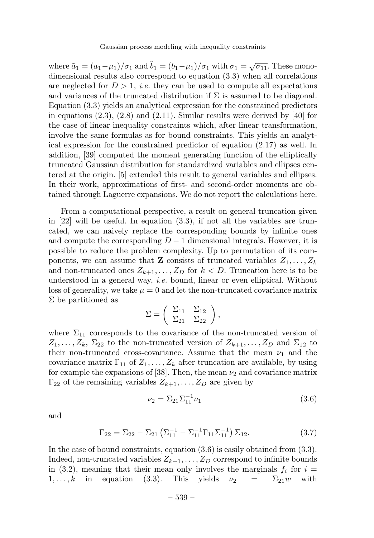where  $\tilde{a}_1 = (a_1 - \mu_1)/\sigma_1$  and  $\tilde{b}_1 = (b_1 - \mu_1)/\sigma_1$  with  $\sigma_1 = \sqrt{\sigma_1}$ . These monodimensional results also correspond to equation (3.3) when all correlations are neglected for  $D > 1$ , *i.e.* they can be used to compute all expectations and variances of the truncated distribution if  $\Sigma$  is assumed to be diagonal. Equation (3.3) yields an analytical expression for the constrained predictors in equations  $(2.3)$ ,  $(2.8)$  and  $(2.11)$ . Similar results were derived by [40] for the case of linear inequality constraints which, after linear transformation, involve the same formulas as for bound constraints. This yields an analytical expression for the constrained predictor of equation (2.17) as well. In addition, [39] computed the moment generating function of the elliptically truncated Gaussian distribution for standardized variables and ellipses centered at the origin. [5] extended this result to general variables and ellipses. In their work, approximations of first- and second-order moments are obtained through Laguerre expansions. We do not report the calculations here.

From a computational perspective, a result on general truncation given in  $[22]$  will be useful. In equation  $(3.3)$ , if not all the variables are truncated, we can naively replace the corresponding bounds by infinite ones and compute the corresponding  $D-1$  dimensional integrals. However, it is possible to reduce the problem complexity. Up to permutation of its components, we can assume that **Z** consists of truncated variables  $Z_1, \ldots, Z_k$ and non-truncated ones  $Z_{k+1},...,Z_D$  for  $k < D$ . Truncation here is to be understood in a general way, i.e. bound, linear or even elliptical. Without loss of generality, we take  $\mu = 0$  and let the non-truncated covariance matrix Σ be partitioned as

$$
\Sigma = \left( \begin{array}{cc} \Sigma_{11} & \Sigma_{12} \\ \Sigma_{21} & \Sigma_{22} \end{array} \right),
$$

where  $\Sigma_{11}$  corresponds to the covariance of the non-truncated version of  $Z_1,\ldots,Z_k$ ,  $\Sigma_{22}$  to the non-truncated version of  $Z_{k+1},\ldots,Z_D$  and  $\Sigma_{12}$  to their non-truncated cross-covariance. Assume that the mean  $\nu_1$  and the covariance matrix  $\Gamma_{11}$  of  $Z_1, \ldots, Z_k$  after truncation are available, by using for example the expansions of [38]. Then, the mean  $\nu_2$  and covariance matrix  $\Gamma_{22}$  of the remaining variables  $Z_{k+1}, \ldots, Z_D$  are given by

$$
\nu_2 = \Sigma_{21} \Sigma_{11}^{-1} \nu_1 \tag{3.6}
$$

and

$$
\Gamma_{22} = \Sigma_{22} - \Sigma_{21} \left( \Sigma_{11}^{-1} - \Sigma_{11}^{-1} \Gamma_{11} \Sigma_{11}^{-1} \right) \Sigma_{12}.
$$
 (3.7)

In the case of bound constraints, equation (3.6) is easily obtained from (3.3). Indeed, non-truncated variables  $Z_{k+1}, \ldots, Z_D$  correspond to infinite bounds in (3.2), meaning that their mean only involves the marginals  $f_i$  for  $i =$  $1,\ldots,k$  in equation (3.3). This yields  $\nu_2 = \Sigma_{21}w$  with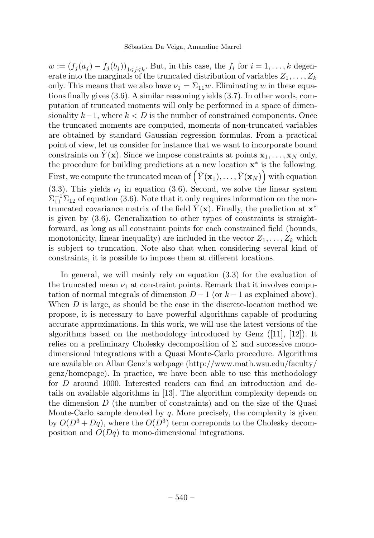$w := (f_j(a_j) - f_j(b_j))_{1 \leq j \leq k}$ . But, in this case, the  $f_i$  for  $i = 1, \ldots, k$  degenerate into the marginals of the truncated distribution of variables  $Z_1, \ldots, Z_k$ only. This means that we also have  $\nu_1 = \Sigma_{11} w$ . Eliminating w in these equations finally gives (3.6). A similar reasoning yields (3.7). In other words, computation of truncated moments will only be performed in a space of dimensionality  $k-1$ , where  $k < D$  is the number of constrained components. Once the truncated moments are computed, moments of non-truncated variables are obtained by standard Gaussian regression formulas. From a practical point of view, let us consider for instance that we want to incorporate bound constraints on  $Y(\mathbf{x})$ . Since we impose constraints at points  $\mathbf{x}_1,\ldots,\mathbf{x}_N$  only, the procedure for building predictions at a new location x<sup>∗</sup> is the following. First, we compute the truncated mean of  $(\tilde{Y}(\mathbf{x}_1), \ldots, \tilde{Y}(\mathbf{x}_N))$  with equation (3.3). This yields  $\nu_1$  in equation (3.6). Second, we solve the linear system  $\Sigma_{11}^{-1}\Sigma_{12}$  of equation (3.6). Note that it only requires information on the nontruncated covariance matrix of the field  $Y(x)$ . Finally, the prediction at  $x^*$ is given by (3.6). Generalization to other types of constraints is straightforward, as long as all constraint points for each constrained field (bounds, monotonicity, linear inequality) are included in the vector  $Z_1, \ldots, Z_k$  which is subject to truncation. Note also that when considering several kind of constraints, it is possible to impose them at different locations.

In general, we will mainly rely on equation (3.3) for the evaluation of the truncated mean  $\nu_1$  at constraint points. Remark that it involves computation of normal integrals of dimension  $D-1$  (or  $k-1$  as explained above). When  $D$  is large, as should be the case in the discrete-location method we propose, it is necessary to have powerful algorithms capable of producing accurate approximations. In this work, we will use the latest versions of the algorithms based on the methodology introduced by Genz ([11], [12]). It relies on a preliminary Cholesky decomposition of  $\Sigma$  and successive monodimensional integrations with a Quasi Monte-Carlo procedure. Algorithms are available on Allan Genz's webpage (http://www.math.wsu.edu/faculty/ genz/homepage). In practice, we have been able to use this methodology for D around 1000. Interested readers can find an introduction and details on available algorithms in [13]. The algorithm complexity depends on the dimension  $D$  (the number of constraints) and on the size of the Quasi Monte-Carlo sample denoted by  $q$ . More precisely, the complexity is given by  $O(D^3 + Dq)$ , where the  $O(D^3)$  term correponds to the Cholesky decomposition and  $O(Dq)$  to mono-dimensional integrations.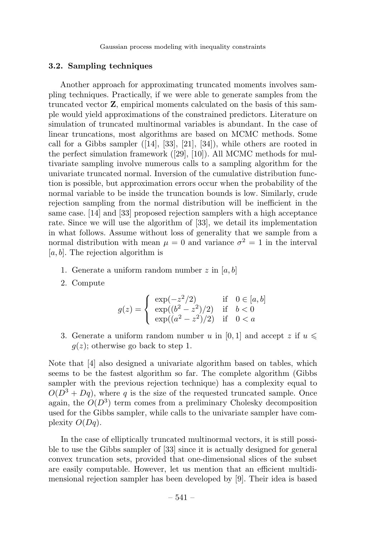#### 3.2. Sampling techniques

Another approach for approximating truncated moments involves sampling techniques. Practically, if we were able to generate samples from the truncated vector Z, empirical moments calculated on the basis of this sample would yield approximations of the constrained predictors. Literature on simulation of truncated multinormal variables is abundant. In the case of linear truncations, most algorithms are based on MCMC methods. Some call for a Gibbs sampler ([14], [33], [21], [34]), while others are rooted in the perfect simulation framework ([29], [10]). All MCMC methods for multivariate sampling involve numerous calls to a sampling algorithm for the univariate truncated normal. Inversion of the cumulative distribution function is possible, but approximation errors occur when the probability of the normal variable to be inside the truncation bounds is low. Similarly, crude rejection sampling from the normal distribution will be inefficient in the same case. [14] and [33] proposed rejection samplers with a high acceptance rate. Since we will use the algorithm of [33], we detail its implementation in what follows. Assume without loss of generality that we sample from a normal distribution with mean  $\mu = 0$  and variance  $\sigma^2 = 1$  in the interval  $[a, b]$ . The rejection algorithm is

- 1. Generate a uniform random number  $z$  in [a, b]
- 2. Compute

$$
g(z) = \begin{cases} \exp(-z^2/2) & \text{if} \quad 0 \in [a, b] \\ \exp((b^2 - z^2)/2) & \text{if} \quad b < 0 \\ \exp((a^2 - z^2)/2) & \text{if} \quad 0 < a \end{cases}
$$

3. Generate a uniform random number u in [0, 1] and accept z if  $u \leq$  $q(z)$ ; otherwise go back to step 1.

Note that [4] also designed a univariate algorithm based on tables, which seems to be the fastest algorithm so far. The complete algorithm (Gibbs sampler with the previous rejection technique) has a complexity equal to  $O(D^3 + Dq)$ , where q is the size of the requested truncated sample. Once again, the  $O(D^3)$  term comes from a preliminary Cholesky decomposition used for the Gibbs sampler, while calls to the univariate sampler have complexity  $O(Dq)$ .

In the case of elliptically truncated multinormal vectors, it is still possible to use the Gibbs sampler of [33] since it is actually designed for general convex truncation sets, provided that one-dimensional slices of the subset are easily computable. However, let us mention that an efficient multidimensional rejection sampler has been developed by [9]. Their idea is based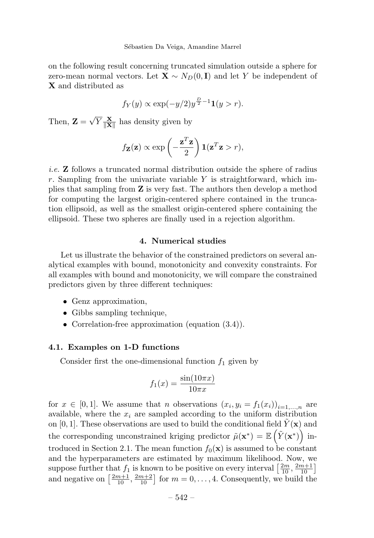on the following result concerning truncated simulation outside a sphere for zero-mean normal vectors. Let  $\mathbf{X} \sim N_D(0, \mathbf{I})$  and let Y be independent of X and distributed as

$$
f_Y(y) \propto \exp(-y/2)y^{\frac{D}{2}-1}1(y > r).
$$

Then,  $\mathbf{Z} = \sqrt{Y} \frac{\mathbf{X}}{\|\mathbf{X}\|}$  has density given by

$$
f_{\mathbf{Z}}(\mathbf{z}) \propto \exp\left(-\frac{\mathbf{z}^T \mathbf{z}}{2}\right) \mathbf{1}(\mathbf{z}^T \mathbf{z} > r),
$$

*i.e.*  $\bf{Z}$  follows a truncated normal distribution outside the sphere of radius  $r$ . Sampling from the univariate variable Y is straightforward, which implies that sampling from Z is very fast. The authors then develop a method for computing the largest origin-centered sphere contained in the truncation ellipsoid, as well as the smallest origin-centered sphere containing the ellipsoid. These two spheres are finally used in a rejection algorithm.

# 4. Numerical studies

Let us illustrate the behavior of the constrained predictors on several analytical examples with bound, monotonicity and convexity constraints. For all examples with bound and monotonicity, we will compare the constrained predictors given by three different techniques:

- Genz approximation,
- Gibbs sampling technique,
- Correlation-free approximation (equation (3.4)).

#### 4.1. Examples on 1-D functions

Consider first the one-dimensional function  $f_1$  given by

$$
f_1(x) = \frac{\sin(10\pi x)}{10\pi x}
$$

for  $x \in [0,1]$ . We assume that n observations  $(x_i, y_i = f_1(x_i))_{i=1,\ldots,n}$  are available, where the  $x_i$  are sampled according to the uniform distribution on [0, 1]. These observations are used to build the conditional field  $Y(\mathbf{x})$  and the corresponding unconstrained kriging predictor  $\tilde{\mu}(\mathbf{x}^*) = \mathbb{E}(\tilde{Y}(\mathbf{x}^*))$  introduced in Section 2.1. The mean function  $f_0(\mathbf{x})$  is assumed to be constant and the hyperparameters are estimated by maximum likelihood. Now, we suppose further that  $f_1$  is known to be positive on every interval  $\left[\frac{2m}{10}, \frac{2m+1}{10}\right]$ and negative on  $\left[\frac{2m+1}{10}, \frac{2m+2}{10}\right]$  for  $m = 0, \ldots, 4$ . Consequently, we build the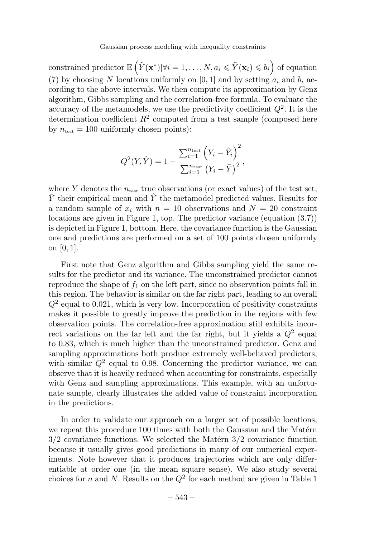constrained predictor  $\mathbb{E}\left(\tilde{Y}(\mathbf{x}^*)|\forall i=1,\ldots,N, a_i \leqslant \tilde{Y}(\mathbf{x}_i) \leqslant b_i\right)$  of equation (7) by choosing N locations uniformly on [0, 1] and by setting  $a_i$  and  $b_i$  according to the above intervals. We then compute its approximation by Genz algorithm, Gibbs sampling and the correlation-free formula. To evaluate the accuracy of the metamodels, we use the predictivity coefficient  $Q^2$ . It is the determination coefficient  $R^2$  computed from a test sample (composed here by  $n_{\text{test}} = 100$  uniformly chosen points):

$$
Q^{2}(Y,\hat{Y}) = 1 - \frac{\sum_{i=1}^{n_{\text{test}}} (Y_{i} - \hat{Y}_{i})^{2}}{\sum_{i=1}^{n_{\text{test}}} (Y_{i} - \bar{Y})^{2}},
$$

where Y denotes the  $n_{test}$  true observations (or exact values) of the test set,  $\bar{Y}$  their empirical mean and  $\hat{Y}$  the metamodel predicted values. Results for a random sample of  $x_i$  with  $n = 10$  observations and  $N = 20$  constraint locations are given in Figure 1, top. The predictor variance (equation (3.7)) is depicted in Figure 1, bottom. Here, the covariance function is the Gaussian one and predictions are performed on a set of 100 points chosen uniformly on [0, 1].

First note that Genz algorithm and Gibbs sampling yield the same results for the predictor and its variance. The unconstrained predictor cannot reproduce the shape of  $f_1$  on the left part, since no observation points fall in this region. The behavior is similar on the far right part, leading to an overall  $Q<sup>2</sup>$  equal to 0.021, which is very low. Incorporation of positivity constraints makes it possible to greatly improve the prediction in the regions with few observation points. The correlation-free approximation still exhibits incorrect variations on the far left and the far right, but it yields a  $Q^2$  equal to 0.83, which is much higher than the unconstrained predictor. Genz and sampling approximations both produce extremely well-behaved predictors, with similar  $Q^2$  equal to 0.98. Concerning the predictor variance, we can observe that it is heavily reduced when accounting for constraints, especially with Genz and sampling approximations. This example, with an unfortunate sample, clearly illustrates the added value of constraint incorporation in the predictions.

In order to validate our approach on a larger set of possible locations, we repeat this procedure 100 times with both the Gaussian and the Matérn  $3/2$  covariance functions. We selected the Matérn  $3/2$  covariance function because it usually gives good predictions in many of our numerical experiments. Note however that it produces trajectories which are only differentiable at order one (in the mean square sense). We also study several choices for n and N. Results on the  $Q^2$  for each method are given in Table 1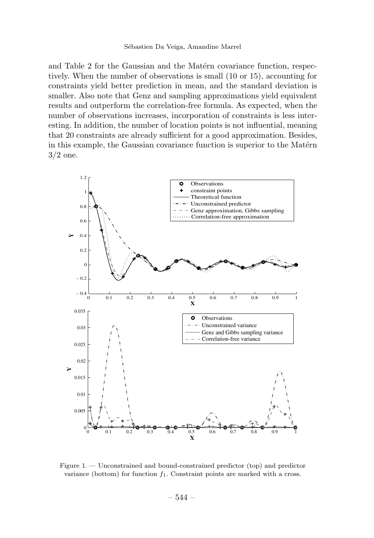and Table 2 for the Gaussian and the Matern covariance function, respectively. When the number of observations is small (10 or 15), accounting for constraints yield better prediction in mean, and the standard deviation is smaller. Also note that Genz and sampling approximations yield equivalent results and outperform the correlation-free formula. As expected, when the number of observations increases, incorporation of constraints is less interesting. In addition, the number of location points is not influential, meaning that 20 constraints are already sufficient for a good approximation. Besides, in this example, the Gaussian covariance function is superior to the Matérn 3/2 one.



Figure 1. — Unconstrained and bound-constrained predictor (top) and predictor variance (bottom) for function  $f_1$ . Constraint points are marked with a cross.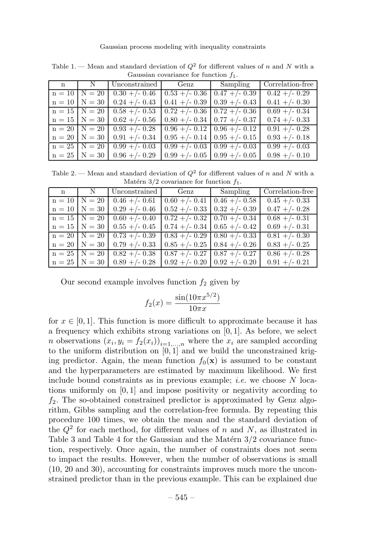| n | N                 | Unconstrained   Genz   Sampling   |                                              |                                    | Correlation-free           |  |
|---|-------------------|-----------------------------------|----------------------------------------------|------------------------------------|----------------------------|--|
|   |                   | $n = 10$ N = 20   0.30 +/- 0.46   | $\mid 0.53 + (-0.36 \mid 0.47 + (-0.39 \mid$ |                                    | $0.42 + (-0.29)$           |  |
|   |                   | $n = 10$   N = 30   0.24 +/- 0.43 |                                              | $0.41 + (-0.39)$ 0.39 + $(-0.43)$  | $0.41 + (-0.30)$           |  |
|   |                   | $n = 15$   N = 20   0.58 +/- 0.53 | $\mid 0.72 + (-0.36 \mid 0.72 + (-0.36 \mid$ |                                    | $0.69 + - 0.34$            |  |
|   |                   | $n = 15$   N = 30   0.62 +/- 0.56 | $0.80 + (-0.34) 0.77 + (-0.37)$              |                                    | $0.74 + (-0.33)$           |  |
|   | $n = 20$   N = 20 | $0.93 + (-0.28)$                  | $0.96 + (-0.12) 0.96 + (-0.12)$              |                                    | $0.91 + (-0.28)$           |  |
|   | $n = 20$   N = 30 | $0.91 + (-0.34)$                  |                                              | $0.95 + (-0.14) 0.95 + (-0.15)$    | $0.93 + (-0.18)$           |  |
|   | $n = 25$   N = 20 | $0.99 + - 0.03$                   |                                              | $0.99 + (-0.03 \mid 0.99 + (-0.03$ | $\overline{0.99+}$ /- 0.03 |  |
|   | $n = 25$   N = 30 | $0.96 + (-0.29)$                  |                                              | $0.99 + (-0.05 \mid 0.99 + (-0.05$ | $0.98 + (-0.10)$           |  |

Table 1. — Mean and standard deviation of  $Q^2$  for different values of n and N with a Gaussian covariance for function f1.

Table 2. — Mean and standard deviation of  $Q^2$  for different values of n and N with a Matérn  $3/2$  covariance for function  $f_1$ .

|  |                                   |                                                   | n   N   Unconstrained   Genz   Sampling   Correlation-free |
|--|-----------------------------------|---------------------------------------------------|------------------------------------------------------------|
|  | $n = 10$   N = 20   0.46 +/- 0.61 | $0.60 + (-0.41) 0.46 + (-0.58)$                   | $\sqrt{0.45 +}$ /- 0.33                                    |
|  | $n = 10$   N = 30   0.29 +/- 0.46 | $\mid 0.52 + (-0.33 \mid 0.32 + (-0.39$           | $0.47 + (-0.28)$                                           |
|  | $n = 15$ $N = 20$ $0.60$ +/- 0.40 | $\boxed{0.72 + (-0.32)}$ $\boxed{0.70 + (-0.34)}$ | $0.68 + - 0.31$                                            |
|  | $n = 15$   N = 30   0.55 +/- 0.45 | $\mid 0.74 + (-0.34 \mid 0.65 + (-0.42$           | $0.69 + (-0.31)$                                           |
|  | $n = 20$   N = 20   0.73 +/- 0.39 | $\mid 0.83 + (-0.29) \mid 0.80 + (-0.33) \mid$    | $0.81 + (-0.30)$                                           |
|  | $n = 20$   N = 30   0.79 +/- 0.33 | $0.85 + (-0.25) 0.84 + (-0.26)$                   | $0.83 + (-0.25)$                                           |
|  | $n = 25$   N = 20   0.82 +/- 0.38 | $\mid 0.87 + (-0.27) \mid 0.87 + (-0.27) \mid$    | $0.86 + (-0.28)$                                           |
|  | $n = 25$   N = 30   0.89 +/- 0.28 | $0.92 + (-0.20) 0.92 + (-0.20)$                   | $0.91 + (-0.21)$                                           |

Our second example involves function  $f_2$  given by

$$
f_2(x) = \frac{\sin(10\pi x^{5/2})}{10\pi x}
$$

for  $x \in [0, 1]$ . This function is more difficult to approximate because it has a frequency which exhibits strong variations on  $[0, 1]$ . As before, we select *n* observations  $(x_i, y_i = f_2(x_i))_{i=1,...,n}$  where the  $x_i$  are sampled according to the uniform distribution on  $[0, 1]$  and we build the unconstrained kriging predictor. Again, the mean function  $f_0(\mathbf{x})$  is assumed to be constant and the hyperparameters are estimated by maximum likelihood. We first include bound constraints as in previous example; *i.e.* we choose  $N$  locations uniformly on [0, 1] and impose positivity or negativity according to  $f_2$ . The so-obtained constrained predictor is approximated by Genz algorithm, Gibbs sampling and the correlation-free formula. By repeating this procedure 100 times, we obtain the mean and the standard deviation of the  $Q^2$  for each method, for different values of n and N, as illustrated in Table 3 and Table 4 for the Gaussian and the Matérn  $3/2$  covariance function, respectively. Once again, the number of constraints does not seem to impact the results. However, when the number of observations is small (10, 20 and 30), accounting for constraints improves much more the unconstrained predictor than in the previous example. This can be explained due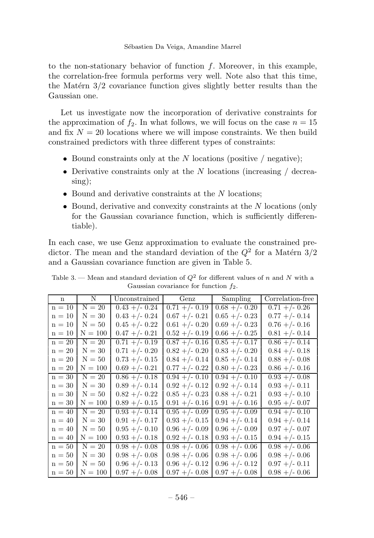#### Sébastien Da Veiga, Amandine Marrel

to the non-stationary behavior of function  $f$ . Moreover, in this example, the correlation-free formula performs very well. Note also that this time, the Matérn  $3/2$  covariance function gives slightly better results than the Gaussian one.

Let us investigate now the incorporation of derivative constraints for the approximation of  $f_2$ . In what follows, we will focus on the case  $n = 15$ and fix  $N = 20$  locations where we will impose constraints. We then build constrained predictors with three different types of constraints:

- Bound constraints only at the  $N$  locations (positive / negative);
- Derivative constraints only at the  $N$  locations (increasing / decreasing);
- Bound and derivative constraints at the  $N$  locations;
- Bound, derivative and convexity constraints at the N locations (only for the Gaussian covariance function, which is sufficiently differentiable).

In each case, we use Genz approximation to evaluate the constrained predictor. The mean and the standard deviation of the  $Q^2$  for a Matérn 3/2 and a Gaussian covariance function are given in Table 5.

| $\mathbf n$ | N         | Unconstrained    | Genz             | Sampling         | Correlation-free |
|-------------|-----------|------------------|------------------|------------------|------------------|
| $n = 10$    | $N = 20$  | $0.43 + (-0.24)$ | $0.71 + (-0.19)$ | $0.68 + (-0.20)$ | $0.71 + (-0.26)$ |
| $n = 10$    | $N = 30$  | $0.43 + -0.24$   | $0.67 + - 0.21$  | $0.65 + (-0.23)$ | $0.77 + -0.14$   |
| $n = 10$    | $N = 50$  | $0.45 + -0.22$   | $0.61 + (-0.20)$ | $0.69 + -0.23$   | $0.76 + -0.16$   |
| $n = 10$    | $N = 100$ | $0.47 + -0.21$   | $0.52 + -0.19$   | $0.66 + -0.25$   | $0.81 + (-0.14)$ |
| $n = 20$    | $N = 20$  | $0.71 + (-0.19)$ | $0.87 + (-0.16)$ | $0.85 + (-0.17)$ | $0.86 + -0.14$   |
| $n = 20$    | $N = 30$  | $0.71 + (-0.20)$ | $0.82 + (-0.20)$ | $0.83 + (-0.20)$ | $0.84 + (-0.18)$ |
| $n = 20$    | $N = 50$  | $0.73 + -0.15$   | $0.84 + - 0.14$  | $0.85 + -0.14$   | $0.88 + -0.08$   |
| $n = 20$    | $N = 100$ | $0.69 + -0.21$   | $0.77 + -0.22$   | $0.80 + -0.23$   | $0.86 + -0.16$   |
| $n = 30$    | $N = 20$  | $0.86 + (-0.18)$ | $0.94 + (-0.10)$ | $0.94 + (-0.10)$ | $0.93 + (-0.08)$ |
| $n = 30$    | $N = 30$  | $0.89 + (-0.14)$ | $0.92 + (-0.12)$ | $0.92 + - 0.14$  | $0.93 + (-0.11)$ |
| $n = 30$    | $N = 50$  | $0.82 + (-0.22)$ | $0.85 + (-0.23)$ | $0.88 + -0.21$   | $0.93 + (-0.10)$ |
| $n = 30$    | $N = 100$ | $0.89 + -0.15$   | $0.91 + (-0.16)$ | $0.91 + (-0.16)$ | $0.95 + (-0.07)$ |
| $n = 40$    | $N = 20$  | $0.93 + (-0.14)$ | $0.95 + (-0.09)$ | $0.95 + (-0.09)$ | $0.94 + (-0.10)$ |
| $n = 40$    | $N = 30$  | $0.91 + (-0.17)$ | $0.93 + (-0.15)$ | $0.94 + - 0.14$  | $0.94 + (-0.14)$ |
| $n = 40$    | $N = 50$  | $0.95 + -0.10$   | $0.96 + -0.09$   | $0.96 + -0.09$   | $0.97 + - 0.07$  |
| $n = 40$    | $N = 100$ | $0.93 + -0.18$   | $0.92 + -0.18$   | $0.93 + -0.15$   | $0.94 + -0.15$   |
| $n = 50$    | $N = 20$  | $0.98 + (-0.08)$ | $0.98 + -0.06$   | $0.98 + -0.06$   | $0.98 + -0.06$   |
| $n = 50$    | $N = 30$  | $0.98 + -0.08$   | $0.98 + -0.06$   | $0.98 + -0.06$   | $0.98 + -0.06$   |
| $n = 50$    | $N = 50$  | $0.96 + (-0.13)$ | $0.96 + (-0.12)$ | $0.96 + (-0.12)$ | $0.97 + - 0.11$  |
| $n = 50$    | $N = 100$ | $0.97 + -0.08$   | $0.97 + - 0.08$  | $0.97 + - 0.08$  | $0.98 + -0.06$   |

Table 3. — Mean and standard deviation of  $Q^2$  for different values of n and N with a Gaussian covariance for function  $f_2$ .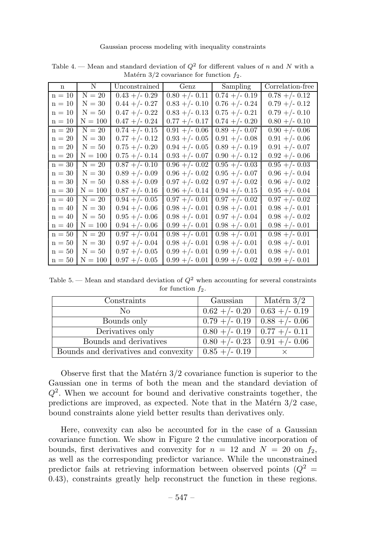| n        | N         | Unconstrained    | Genz             | Sampling         | Correlation-free |
|----------|-----------|------------------|------------------|------------------|------------------|
| $n = 10$ | $N = 20$  | $0.43 + (-0.29)$ | $0.80 + (-0.11)$ | $0.74 + (-0.19)$ | $0.78 + -0.12$   |
| $n = 10$ | $N = 30$  | $0.44 + (-0.27)$ | $0.83 + (-0.10)$ | $0.76 + -0.24$   | $0.79 + (-0.12)$ |
| $n = 10$ | $N = 50$  | $0.47 + -0.22$   | $0.83 + -0.13$   | $0.75 + -0.21$   | $0.79 + - 0.10$  |
|          |           |                  |                  |                  |                  |
| $n = 10$ | $N = 100$ | $0.47 + -0.24$   | $0.77 + -0.17$   | $0.74 + -0.20$   | $0.80 + (-0.10)$ |
| $n = 20$ | $N = 20$  | $0.74 + (-0.15)$ | $0.91 + (-0.06)$ | $0.89 + (-0.07)$ | $0.90 + (-0.06)$ |
| $n = 20$ | $N = 30$  | $0.77 + -0.12$   | $0.93 + -0.05$   | $0.91 + (-0.08)$ | $0.91 + (-0.06)$ |
| $n = 20$ | $N = 50$  | $0.75 + -0.20$   | $0.94 + - 0.05$  | $0.89 + -0.19$   | $0.91 + - 0.07$  |
| $n = 20$ | $N = 100$ | $0.75 + -0.14$   | $0.93 + -0.07$   | $0.90 + -0.12$   | $0.92 + (-0.06)$ |
| $n = 30$ | $N = 20$  | $0.87 + -0.10$   | $0.96 + - 0.02$  | $0.95 + (-0.03)$ | $0.95 + (-0.03)$ |
| $n = 30$ | $N = 30$  | $0.89 + -0.09$   | $0.96 + - 0.02$  | $0.95 + (-0.07)$ | $0.96 + - 0.04$  |
| $n = 30$ | $N = 50$  | $0.88 + (-0.09)$ | $0.97 + - 0.02$  | $0.97 + - 0.02$  | $0.96 + -0.02$   |
| $n = 30$ | $N = 100$ | $0.87 + -0.16$   | $0.96 + - 0.14$  | $0.94 + -0.15$   | $0.95 + -0.04$   |
| $n = 40$ | $N = 20$  | $0.94 + (-0.05)$ | $0.97 + - 0.01$  | $0.97 + -0.02$   | $0.97 + - 0.02$  |
| $n = 40$ | $N = 30$  | $0.94 + - 0.06$  | $0.98 + - 0.01$  | $0.98 + -0.01$   | $0.98 + - 0.01$  |
| $n = 40$ | $N = 50$  | $0.95 + -0.06$   | $0.98 + - 0.01$  | $0.97 + - 0.04$  | $0.98 + (-0.02)$ |
| $n = 40$ | $N = 100$ | $0.94 + - 0.06$  | $0.99 + - 0.01$  | $0.98 + -0.01$   | $0.98 + -0.01$   |
| $n = 50$ | $N = 20$  | $0.97 + - 0.04$  | $0.98 + -0.01$   | $0.98 + -0.01$   | $0.98 + -0.01$   |
| $n = 50$ | $N = 30$  | $0.97 + - 0.04$  | $0.98 + -0.01$   | $0.98 + -0.01$   | $0.98 + -0.01$   |
| $n = 50$ | $N = 50$  | $0.97 + -0.05$   | $0.99 + - 0.01$  | $0.99 + - 0.01$  | $0.98 + -0.01$   |
| $n = 50$ | $N = 100$ | $0.97 + (-0.05)$ | $0.99 + - 0.01$  | $0.99 + (-0.02)$ | $0.99 + (-0.01)$ |

Table 4. — Mean and standard deviation of  $Q^2$  for different values of n and N with a Matérn  $3/2$  covariance for function  $f_2$ .

Table 5. — Mean and standard deviation of  $Q^2$  when accounting for several constraints for function  $f_2$ .

| Constraints                          | Gaussian                           | Matérn $3/2$                       |
|--------------------------------------|------------------------------------|------------------------------------|
| Nο                                   | $0.62 + - 0.20$                    | $\mid$ 0.63 +/- 0.19               |
| Bounds only                          |                                    | $0.79 + (-0.19 \mid 0.88 + (-0.06$ |
| Derivatives only                     | $0.80 +/- 0.19$ 0.77 +/- 0.11      |                                    |
| Bounds and derivatives               | $0.80 + (-0.23 \mid 0.91 + (-0.06$ |                                    |
| Bounds and derivatives and convexity | $0.85 + (-0.19)$                   |                                    |

Observe first that the Matérn  $3/2$  covariance function is superior to the Gaussian one in terms of both the mean and the standard deviation of  $Q^2$ . When we account for bound and derivative constraints together, the predictions are improved, as expected. Note that in the Matérn  $3/2$  case, bound constraints alone yield better results than derivatives only.

Here, convexity can also be accounted for in the case of a Gaussian covariance function. We show in Figure 2 the cumulative incorporation of bounds, first derivatives and convexity for  $n = 12$  and  $N = 20$  on  $f_2$ , as well as the corresponding predictor variance. While the unconstrained predictor fails at retrieving information between observed points  $(Q^2 =$ 0.43), constraints greatly help reconstruct the function in these regions.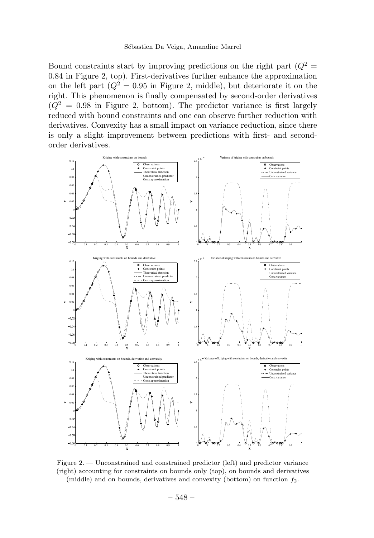#### Sébastien Da Veiga, Amandine Marrel

Bound constraints start by improving predictions on the right part  $(Q^2 =$ 0.84 in Figure 2, top). First-derivatives further enhance the approximation on the left part  $(Q^2 = 0.95$  in Figure 2, middle), but deteriorate it on the right. This phenomenon is finally compensated by second-order derivatives  $(Q<sup>2</sup> = 0.98$  in Figure 2, bottom). The predictor variance is first largely reduced with bound constraints and one can observe further reduction with derivatives. Convexity has a small impact on variance reduction, since there is only a slight improvement between predictions with first- and secondorder derivatives.



Figure 2. — Unconstrained and constrained predictor (left) and predictor variance (right) accounting for constraints on bounds only (top), on bounds and derivatives (middle) and on bounds, derivatives and convexity (bottom) on function  $f_2$ .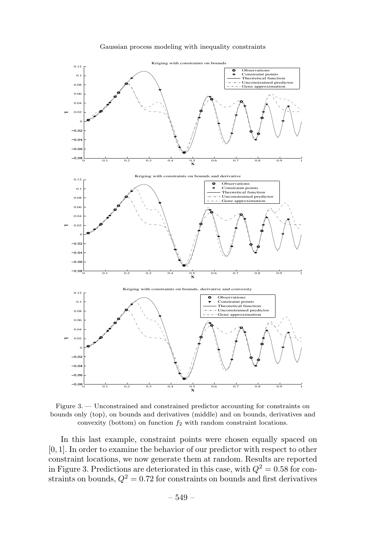



Figure 3. — Unconstrained and constrained predictor accounting for constraints on bounds only (top), on bounds and derivatives (middle) and on bounds, derivatives and convexity (bottom) on function  $f_2$  with random constraint locations.

In this last example, constraint points were chosen equally spaced on [0, 1]. In order to examine the behavior of our predictor with respect to other constraint locations, we now generate them at random. Results are reported in Figure 3. Predictions are deteriorated in this case, with  $Q^2 = 0.58$  for constraints on bounds,  $Q^2 = 0.72$  for constraints on bounds and first derivatives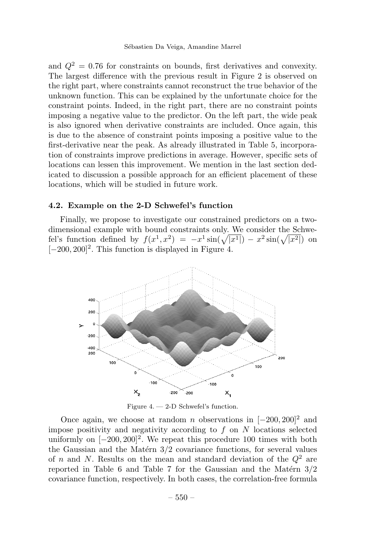and  $Q^2 = 0.76$  for constraints on bounds, first derivatives and convexity. The largest difference with the previous result in Figure 2 is observed on the right part, where constraints cannot reconstruct the true behavior of the unknown function. This can be explained by the unfortunate choice for the constraint points. Indeed, in the right part, there are no constraint points imposing a negative value to the predictor. On the left part, the wide peak is also ignored when derivative constraints are included. Once again, this is due to the absence of constraint points imposing a positive value to the first-derivative near the peak. As already illustrated in Table 5, incorporation of constraints improve predictions in average. However, specific sets of locations can lessen this improvement. We mention in the last section dedicated to discussion a possible approach for an efficient placement of these locations, which will be studied in future work.

# 4.2. Example on the 2-D Schwefel's function

Finally, we propose to investigate our constrained predictors on a twodimensional example with bound constraints only. We consider the Schwefel's function defined by  $f(x^1, x^2) = -x^1 \sin(\sqrt{|x^1|}) - x^2 \sin(\sqrt{|x^2|})$  on  $[-200, 200]^2$ . This function is displayed in Figure 4.



Figure 4. — 2-D Schwefel's function.

Once again, we choose at random *n* observations in  $[-200, 200]^2$  and impose positivity and negativity according to  $f$  on  $N$  locations selected uniformly on  $[-200, 200]^2$ . We repeat this procedure 100 times with both the Gaussian and the Matérn  $3/2$  covariance functions, for several values of n and N. Results on the mean and standard deviation of the  $Q^2$  are reported in Table 6 and Table 7 for the Gaussian and the Matérn  $3/2$ covariance function, respectively. In both cases, the correlation-free formula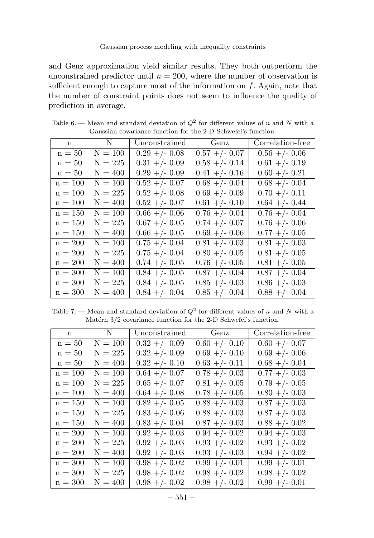and Genz approximation yield similar results. They both outperform the unconstrained predictor until  $n = 200$ , where the number of observation is sufficient enough to capture most of the information on  $f$ . Again, note that the number of constraint points does not seem to influence the quality of prediction in average.

| n         | $\mathbf N$ | Unconstrained    | Genz             | Correlation-free |
|-----------|-------------|------------------|------------------|------------------|
| $n = 50$  | $N = 100$   | $0.29 + -0.08$   | $0.57 + -0.07$   | $0.56 + -0.06$   |
| $n = 50$  | $N = 225$   | $0.31 + (-0.09)$ | $0.58 + -0.14$   | $0.61 + (-0.19)$ |
| $n = 50$  | $N = 400$   | $0.29 + -0.09$   | $0.41 + (-0.16)$ | $0.60 + -0.21$   |
| $n = 100$ | $N = 100$   | $0.52 + (-0.07)$ | $0.68 + -0.04$   | $0.68 + -0.04$   |
| $n = 100$ | $N = 225$   | $0.52 + -0.08$   | $0.69 + -0.09$   | $0.70 + -0.11$   |
| $n = 100$ | $N = 400$   | $0.52 + -0.07$   | $0.61 + - 0.10$  | $0.64 + - 0.44$  |
| $n = 150$ | $N = 100$   | $0.66 + - 0.06$  | $0.76 + -0.04$   | $0.76 + -0.04$   |
| $n = 150$ | $N = 225$   | $0.67 + -0.05$   | $0.74 + -0.07$   | $0.76 + -0.06$   |
| $n = 150$ | $N = 400$   | $0.66 + -0.05$   | $0.69 + -0.06$   | $0.77 + -0.05$   |
| $n = 200$ | $N = 100$   | $0.75 + -0.04$   | $0.81 + (-0.03)$ | $0.81 + (-0.03)$ |
| $n = 200$ | $N = 225$   | $0.75 + -0.04$   | $0.80 + -0.05$   | $0.81 + (-0.05)$ |
| $n = 200$ | $N = 400$   | $0.74 + -0.05$   | $0.76 + -0.05$   | $0.81 + (-0.05)$ |
| $n = 300$ | $N = 100$   | $0.84 + -0.05$   | $0.87 + -0.04$   | $0.87 + -0.04$   |
| $n = 300$ | $N = 225$   | $0.84 + -0.05$   | $0.85 + -0.03$   | $0.86 + -0.03$   |
| $n = 300$ | $N = 400$   | $0.84 + - 0.04$  | $0.85 + -0.04$   | $0.88 + -0.04$   |

Table 6. — Mean and standard deviation of  $Q^2$  for different values of n and N with a Gaussian covariance function for the 2-D Schwefel's function.

Table 7. — Mean and standard deviation of  $Q^2$  for different values of n and N with a Matérn  $3/2$  covariance function for the 2-D Schwefel's function.

| n         | N         | Unconstrained    | Genz             | Correlation-free |
|-----------|-----------|------------------|------------------|------------------|
| $n = 50$  | $N = 100$ | $0.32 + (-0.09)$ | $0.60 + (-0.10)$ | $0.60 + - 0.07$  |
| $n = 50$  | $N = 225$ | $0.32 + -0.09$   | $0.69 + -0.10$   | $0.69 + - 0.06$  |
| $n = 50$  | $N = 400$ | $0.32 + (-0.10)$ | $0.63 + -0.11$   | $0.68 + -0.04$   |
| $n = 100$ | $N = 100$ | $0.64 + - 0.07$  | $0.78 + -0.03$   | $0.77 + -0.03$   |
| $n = 100$ | $N = 225$ | $0.65 + -0.07$   | $0.81 + (-0.05)$ | $0.79 + -0.05$   |
| $n = 100$ | $N = 400$ | $0.64 + - 0.08$  | $0.78 + -0.05$   | $0.80 + -0.03$   |
| $n = 150$ | $N = 100$ | $0.82 + -0.05$   | $0.88 + -0.03$   | $0.87 + -0.03$   |
| $n = 150$ | $N = 225$ | $0.83 + -0.06$   | $0.88 + -0.03$   | $0.87 + - 0.03$  |
| $n = 150$ | $N = 400$ | $0.83 + -0.04$   | $0.87 + -0.03$   | $0.88 + -0.02$   |
| $n = 200$ | $N = 100$ | $0.92 + - 0.03$  | $0.94 + -0.02$   | $0.94 + -0.03$   |
| $n = 200$ | $N = 225$ | $0.92 + - 0.03$  | $0.93 + -0.02$   | $0.93 + -0.02$   |
| $n = 200$ | $N = 400$ | $0.92 + -0.03$   | $0.93 + -0.03$   | $0.94 + -0.02$   |
| $n = 300$ | $N = 100$ | $0.98 + -0.02$   | $0.99 + -0.01$   | $0.99 + - 0.01$  |
| $n = 300$ | $N = 225$ | $0.98 + -0.02$   | $0.98 + -0.02$   | $0.98 + -0.02$   |
| $n = 300$ | $N = 400$ | $0.98 + -0.02$   | $0.98 + -0.02$   | $0.99 + - 0.01$  |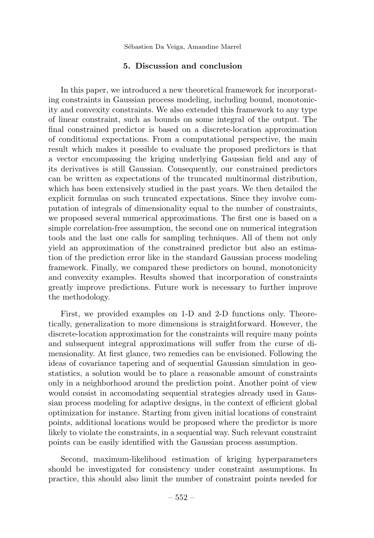Sébastien Da Veiga, Amandine Marrel

# 5. Discussion and conclusion

In this paper, we introduced a new theoretical framework for incorporating constraints in Gaussian process modeling, including bound, monotonicity and convexity constraints. We also extended this framework to any type of linear constraint, such as bounds on some integral of the output. The final constrained predictor is based on a discrete-location approximation of conditional expectations. From a computational perspective, the main result which makes it possible to evaluate the proposed predictors is that a vector encompassing the kriging underlying Gaussian field and any of its derivatives is still Gaussian. Consequently, our constrained predictors can be written as expectations of the truncated multinormal distribution, which has been extensively studied in the past years. We then detailed the explicit formulas on such truncated expectations. Since they involve computation of integrals of dimensionality equal to the number of constraints, we proposed several numerical approximations. The first one is based on a simple correlation-free assumption, the second one on numerical integration tools and the last one calls for sampling techniques. All of them not only yield an approximation of the constrained predictor but also an estimation of the prediction error like in the standard Gaussian process modeling framework. Finally, we compared these predictors on bound, monotonicity and convexity examples. Results showed that incorporation of constraints greatly improve predictions. Future work is necessary to further improve the methodology.

First, we provided examples on 1-D and 2-D functions only. Theoretically, generalization to more dimensions is straightforward. However, the discrete-location approximation for the constraints will require many points and subsequent integral approximations will suffer from the curse of dimensionality. At first glance, two remedies can be envisioned. Following the ideas of covariance tapering and of sequential Gaussian simulation in geostatistics, a solution would be to place a reasonable amount of constraints only in a neighborhood around the prediction point. Another point of view would consist in accomodating sequential strategies already used in Gaussian process modeling for adaptive designs, in the context of efficient global optimization for instance. Starting from given initial locations of constraint points, additional locations would be proposed where the predictor is more likely to violate the constraints, in a sequential way. Such relevant constraint points can be easily identified with the Gaussian process assumption.

Second, maximum-likelihood estimation of kriging hyperparameters should be investigated for consistency under constraint assumptions. In practice, this should also limit the number of constraint points needed for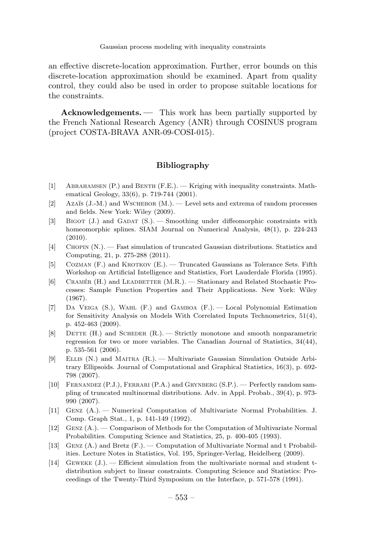an effective discrete-location approximation. Further, error bounds on this discrete-location approximation should be examined. Apart from quality control, they could also be used in order to propose suitable locations for the constraints.

Acknowledgements. — This work has been partially supported by the French National Research Agency (ANR) through COSINUS program (project COSTA-BRAVA ANR-09-COSI-015).

# Bibliography

- [1] Abrahamsen (P.) and Benth (F.E.). Kriging with inequality constraints. Mathematical Geology, 33(6), p. 719-744 (2001).
- [2] Azaïs (J.-M.) and WSCHEBOR (M.). Level sets and extrema of random processes and fields. New York: Wiley (2009).
- [3] BIGOT (J.) and GADAT (S.). Smoothing under diffeomorphic constraints with homeomorphic splines. SIAM Journal on Numerical Analysis, 48(1), p. 224-243 (2010).
- [4] Chopin (N.). Fast simulation of truncated Gaussian distributions. Statistics and Computing, 21, p. 275-288 (2011).
- [5] COZMAN (F.) and KROTKOV (E.). Truncated Gaussians as Tolerance Sets. Fifth Workshop on Artificial Intelligence and Statistics, Fort Lauderdale Florida (1995).
- [6] CRAMÉR (H.) and LEADBETTER (M.R.). Stationary and Related Stochastic Processes: Sample Function Properties and Their Applications. New York: Wiley (1967).
- [7] Da Veiga (S.), Wahl (F.) and Gamboa (F.). Local Polynomial Estimation for Sensitivity Analysis on Models With Correlated Inputs Technometrics, 51(4), p. 452-463 (2009).
- $[8]$  DETTE (H.) and SCHEDER  $(R.)$  Strictly monotone and smooth nonparametric regression for two or more variables. The Canadian Journal of Statistics, 34(44), p. 535-561 (2006).
- [9] Ellis (N.) and Maitra (R.). Multivariate Gaussian Simulation Outside Arbitrary Ellipsoids. Journal of Computational and Graphical Statistics, 16(3), p. 692- 798 (2007).
- [10] Fernandez (P.J.), Ferrari (P.A.) and Grynberg (S.P.). Perfectly random sampling of truncated multinormal distributions. Adv. in Appl. Probab., 39(4), p. 973- 990 (2007).
- [11] Genz (A.). Numerical Computation of Multivariate Normal Probabilities. J. Comp. Graph Stat., 1, p. 141-149 (1992).
- [12] Genz (A.). Comparison of Methods for the Computation of Multivariate Normal Probabilities. Computing Science and Statistics, 25, p. 400-405 (1993).
- [13] Genz (A.) and Bretz (F.). Computation of Multivariate Normal and t Probabilities. Lecture Notes in Statistics, Vol. 195, Springer-Verlag, Heidelberg (2009).
- [14] Geweke (J.). Efficient simulation from the multivariate normal and student tdistribution subject to linear constraints. Computing Science and Statistics: Proceedings of the Twenty-Third Symposium on the Interface, p. 571-578 (1991).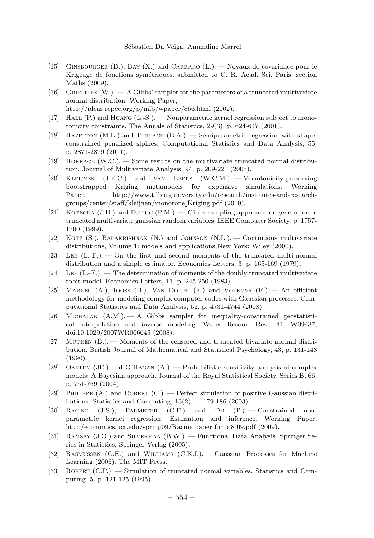- [15] Ginsbourger (D.), Bay (X.) and Carraro (L.). Noyaux de covariance pour le Krigeage de fonctions symétriques. submitted to C. R. Acad. Sci. Paris, section Maths (2009).
- [16] GRIFFITHS  $(W)$ .  $A$  Gibbs' sampler for the parameters of a truncated multivariate normal distribution. Working Paper, http://ideas.repec.org/p/mlb/wpaper/856.html (2002).
- [17] Hall (P.) and Huang (L.-S.). Nonparametric kernel regression subject to monotonicity constraints. The Annals of Statistics, 29(3), p. 624-647 (2001).
- [18] HAZELTON (M.L.) and TURLACH (B.A.). Semiparametric regression with shapeconstrained penalized slpines. Computational Statistics and Data Analysis, 55, p. 2871-2879 (2011).
- [19] Horrace (W.C.). Some results on the multivariate truncated normal distribution. Journal of Multivariate Analysis, 94, p. 209-221 (2005).
- [20] Kleijnen (J.P.C.) and van Beers (W.C.M.). Monotonicity-preserving bootstrapped Kriging metamodels for expensive simulations. Working Paper, http://www.tilburguniversity.edu/research/institutes-and-researchgroups/center/staff/kleijnen/monotone Kriging.pdf (2010).
- [21] KOTECHA (J.H.) and DJURIC  $(P.M.)$ .  $-$  Gibbs sampling approach for generation of truncated multivariate gaussian random variables. IEEE Computer Society, p. 1757- 1760 (1999).
- [22] KOTZ (S.), BALAKRISHNAN (N.) and JOHNSON (N.L.). Continuous multivariate distributions, Volume 1: models and applications New York: Wiley (2000).
- [23] Lee (L.-F.). On the first and second moments of the truncated multi-normal distribution and a simple estimator. Economics Letters, 3, p. 165-169 (1979).
- [24] Lee  $(L-F)$ . The determination of moments of the doubly truncated multivariate tobit model. Economics Letters, 11, p. 245-250 (1983).
- [25] MARREL  $(A.)$ , IOOSS  $(B.)$ , VAN DORPE  $(F.)$  and VOLKOVA  $(E.)$   $-$  An efficient methodology for modeling complex computer codes with Gaussian processes. Computational Statistics and Data Analysis, 52, p. 4731-4744 (2008).
- [26] MICHALAK  $(A.M.) = A$  Gibbs sampler for inequality-constrained geostatistical interpolation and inverse modeling. Water Resour. Res., 44, W09437, doi:10.1029/2007WR006645 (2008).
- [27] MUTHÉN  $(B.)$ . Moments of the censored and truncated bivariate normal distribution. British Journal of Mathematical and Statistical Psychology, 43, p. 131-143 (1990).
- [28] Oakley (JE.) and O'Hagan (A.). Probabilistic sensitivity analysis of complex models: A Bayesian approach. Journal of the Royal Statistical Society, Series B, 66, p. 751-769 (2004).
- [29] PHILIPPE  $(A)$  and ROBERT  $(C)$ . Perfect simulation of positive Gaussian distributions. Statistics and Computing, 13(2), p. 179-186 (2003).
- [30] Racine (J.S.), Parmeter (C.F.) and Du (P.). Constrained nonparametric kernel regression: Estimation and inference. Working Paper, http:/economics.ucr.edu/spring09/Racine paper for 5 8 09.pdf (2009).
- [31] Ramsay (J.O.) and Silverman (B.W.). Functional Data Analysis. Springer Series in Statistics, Springer-Verlag (2005).
- [32] Rasmussen (C.E.) and Williams (C.K.I.). Gaussian Processes for Machine Learning (2006). The MIT Press.
- [33] Robert (C.P.). Simulation of truncated normal variables. Statistics and Computing, 5, p. 121-125 (1995).